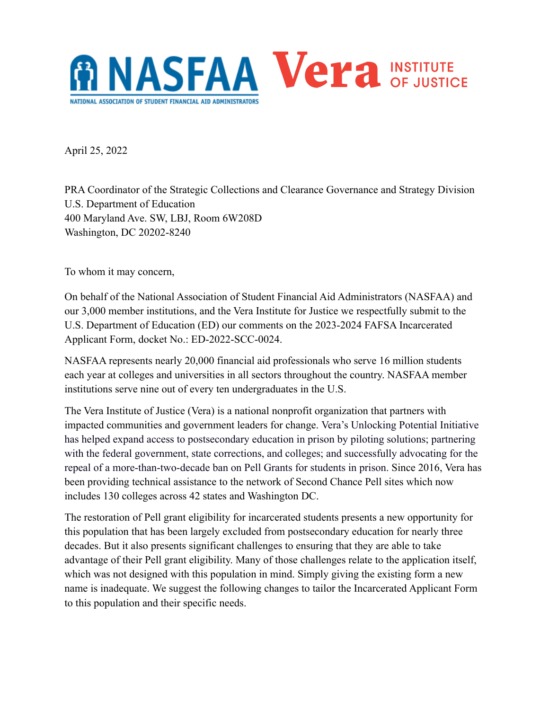

April 25, 2022

PRA Coordinator of the Strategic Collections and Clearance Governance and Strategy Division U.S. Department of Education 400 Maryland Ave. SW, LBJ, Room 6W208D Washington, DC 20202-8240

To whom it may concern,

On behalf of the National Association of Student Financial Aid Administrators (NASFAA) and our 3,000 member institutions, and the Vera Institute for Justice we respectfully submit to the U.S. Department of Education (ED) our comments on the 2023-2024 FAFSA Incarcerated Applicant Form, docket No.: ED-2022-SCC-0024.

NASFAA represents nearly 20,000 financial aid professionals who serve 16 million students each year at colleges and universities in all sectors throughout the country. NASFAA member institutions serve nine out of every ten undergraduates in the U.S.

The Vera Institute of Justice (Vera) is a national nonprofit organization that partners with impacted communities and government leaders for change. Vera's Unlocking Potential Initiative has helped expand access to postsecondary education in prison by piloting solutions; partnering with the federal government, state corrections, and colleges; and successfully advocating for the repeal of a more-than-two-decade ban on Pell Grants for students in prison. Since 2016, Vera has been providing technical assistance to the network of Second Chance Pell sites which now includes 130 colleges across 42 states and Washington DC.

The restoration of Pell grant eligibility for incarcerated students presents a new opportunity for this population that has been largely excluded from postsecondary education for nearly three decades. But it also presents significant challenges to ensuring that they are able to take advantage of their Pell grant eligibility. Many of those challenges relate to the application itself, which was not designed with this population in mind. Simply giving the existing form a new name is inadequate. We suggest the following changes to tailor the Incarcerated Applicant Form to this population and their specific needs.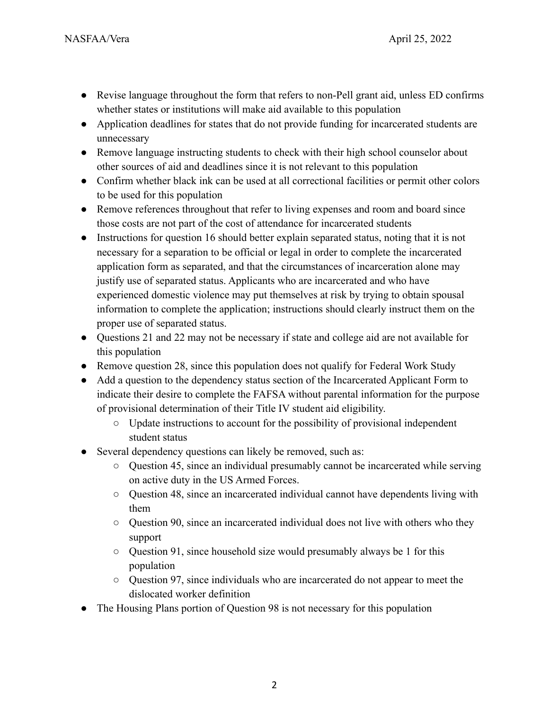- Revise language throughout the form that refers to non-Pell grant aid, unless ED confirms whether states or institutions will make aid available to this population
- Application deadlines for states that do not provide funding for incarcerated students are unnecessary
- Remove language instructing students to check with their high school counselor about other sources of aid and deadlines since it is not relevant to this population
- Confirm whether black ink can be used at all correctional facilities or permit other colors to be used for this population
- Remove references throughout that refer to living expenses and room and board since those costs are not part of the cost of attendance for incarcerated students
- Instructions for question 16 should better explain separated status, noting that it is not necessary for a separation to be official or legal in order to complete the incarcerated application form as separated, and that the circumstances of incarceration alone may justify use of separated status. Applicants who are incarcerated and who have experienced domestic violence may put themselves at risk by trying to obtain spousal information to complete the application; instructions should clearly instruct them on the proper use of separated status.
- Questions 21 and 22 may not be necessary if state and college aid are not available for this population
- Remove question 28, since this population does not qualify for Federal Work Study
- Add a question to the dependency status section of the Incarcerated Applicant Form to indicate their desire to complete the FAFSA without parental information for the purpose of provisional determination of their Title IV student aid eligibility.
	- Update instructions to account for the possibility of provisional independent student status
- Several dependency questions can likely be removed, such as:
	- Question 45, since an individual presumably cannot be incarcerated while serving on active duty in the US Armed Forces.
	- Question 48, since an incarcerated individual cannot have dependents living with them
	- $\circ$  Question 90, since an incarcerated individual does not live with others who they support
	- Question 91, since household size would presumably always be 1 for this population
	- Question 97, since individuals who are incarcerated do not appear to meet the dislocated worker definition
- The Housing Plans portion of Question 98 is not necessary for this population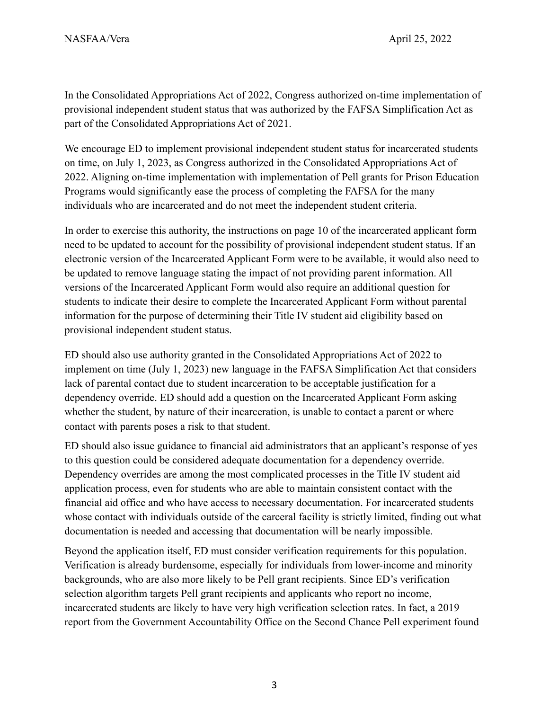In the Consolidated Appropriations Act of 2022, Congress authorized on-time implementation of provisional independent student status that was authorized by the FAFSA Simplification Act as part of the Consolidated Appropriations Act of 2021.

We encourage ED to implement provisional independent student status for incarcerated students on time, on July 1, 2023, as Congress authorized in the Consolidated Appropriations Act of 2022. Aligning on-time implementation with implementation of Pell grants for Prison Education Programs would significantly ease the process of completing the FAFSA for the many individuals who are incarcerated and do not meet the independent student criteria.

In order to exercise this authority, the instructions on page 10 of the incarcerated applicant form need to be updated to account for the possibility of provisional independent student status. If an electronic version of the Incarcerated Applicant Form were to be available, it would also need to be updated to remove language stating the impact of not providing parent information. All versions of the Incarcerated Applicant Form would also require an additional question for students to indicate their desire to complete the Incarcerated Applicant Form without parental information for the purpose of determining their Title IV student aid eligibility based on provisional independent student status.

ED should also use authority granted in the Consolidated Appropriations Act of 2022 to implement on time (July 1, 2023) new language in the FAFSA Simplification Act that considers lack of parental contact due to student incarceration to be acceptable justification for a dependency override. ED should add a question on the Incarcerated Applicant Form asking whether the student, by nature of their incarceration, is unable to contact a parent or where contact with parents poses a risk to that student.

ED should also issue guidance to financial aid administrators that an applicant's response of yes to this question could be considered adequate documentation for a dependency override. Dependency overrides are among the most complicated processes in the Title IV student aid application process, even for students who are able to maintain consistent contact with the financial aid office and who have access to necessary documentation. For incarcerated students whose contact with individuals outside of the carceral facility is strictly limited, finding out what documentation is needed and accessing that documentation will be nearly impossible.

Beyond the application itself, ED must consider verification requirements for this population. Verification is already burdensome, especially for individuals from lower-income and minority backgrounds, who are also more likely to be Pell grant recipients. Since ED's verification selection algorithm targets Pell grant recipients and applicants who report no income, incarcerated students are likely to have very high verification selection rates. In fact, a 2019 report from the Government Accountability Office on the Second Chance Pell experiment found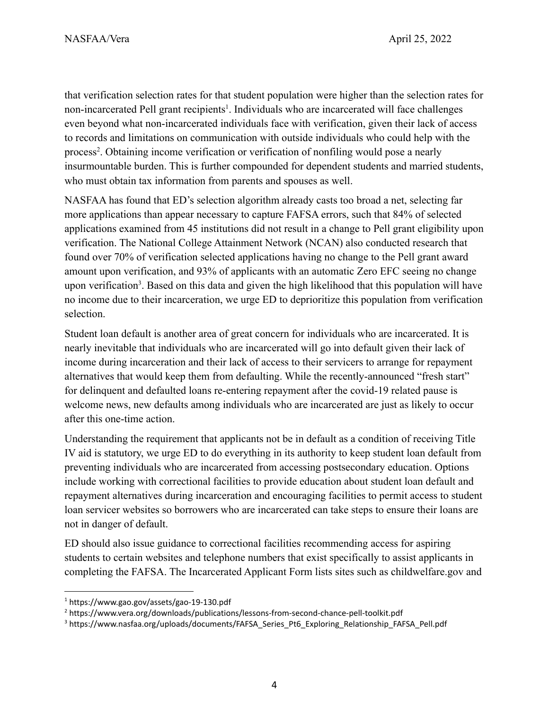that verification selection rates for that student population were higher than the selection rates for non-incarcerated Pell grant recipients<sup>1</sup>. Individuals who are incarcerated will face challenges even beyond what non-incarcerated individuals face with verification, given their lack of access to records and limitations on communication with outside individuals who could help with the process<sup>2</sup>. Obtaining income verification or verification of nonfiling would pose a nearly insurmountable burden. This is further compounded for dependent students and married students, who must obtain tax information from parents and spouses as well.

NASFAA has found that ED's selection algorithm already casts too broad a net, selecting far more applications than appear necessary to capture FAFSA errors, such that 84% of selected applications examined from 45 institutions did not result in a change to Pell grant eligibility upon verification. The National College Attainment Network (NCAN) also conducted research that found over 70% of verification selected applications having no change to the Pell grant award amount upon verification, and 93% of applicants with an automatic Zero EFC seeing no change upon verification<sup>3</sup>. Based on this data and given the high likelihood that this population will have no income due to their incarceration, we urge ED to deprioritize this population from verification selection.

Student loan default is another area of great concern for individuals who are incarcerated. It is nearly inevitable that individuals who are incarcerated will go into default given their lack of income during incarceration and their lack of access to their servicers to arrange for repayment alternatives that would keep them from defaulting. While the recently-announced "fresh start" for delinquent and defaulted loans re-entering repayment after the covid-19 related pause is welcome news, new defaults among individuals who are incarcerated are just as likely to occur after this one-time action.

Understanding the requirement that applicants not be in default as a condition of receiving Title IV aid is statutory, we urge ED to do everything in its authority to keep student loan default from preventing individuals who are incarcerated from accessing postsecondary education. Options include working with correctional facilities to provide education about student loan default and repayment alternatives during incarceration and encouraging facilities to permit access to student loan servicer websites so borrowers who are incarcerated can take steps to ensure their loans are not in danger of default.

ED should also issue guidance to correctional facilities recommending access for aspiring students to certain websites and telephone numbers that exist specifically to assist applicants in completing the FAFSA. The Incarcerated Applicant Form lists sites such as childwelfare.gov and

<sup>1</sup> https://www.gao.gov/assets/gao-19-130.pdf

<sup>&</sup>lt;sup>2</sup> https://www.vera.org/downloads/publications/lessons-from-second-chance-pell-toolkit.pdf

<sup>&</sup>lt;sup>3</sup> https://www.nasfaa.org/uploads/documents/FAFSA\_Series\_Pt6\_Exploring\_Relationship\_FAFSA\_Pell.pdf